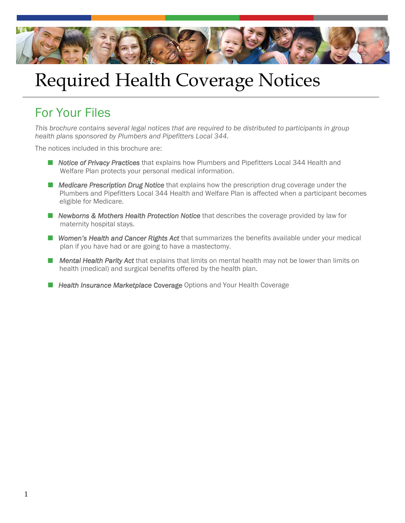

# Required Health Coverage Notices

## For Your Files

*This brochure contains several legal notices that are required to be distributed to participants in group health plans sponsored by Plumbers and Pipefitters Local 344.*

The notices included in this brochure are:

- **Notice of Privacy Practices** that explains how Plumbers and Pipefitters Local 344 Health and Welfare Plan protects your personal medical information.
- **Medicare Prescription Drug Notice** that explains how the prescription drug coverage under the Plumbers and Pipefitters Local 344 Health and Welfare Plan is affected when a participant becomes eligible for Medicare.
- **Newborns & Mothers Health Protection Notice** that describes the coverage provided by law for maternity hospital stays.
- **Momen's Health and Cancer Rights Act** that summarizes the benefits available under your medical plan if you have had or are going to have a mastectomy.
- **Mental Health Parity Act** that explains that limits on mental health may not be lower than limits on health (medical) and surgical benefits offered by the health plan.
- Health Insurance Marketplace Coverage Options and Your Health Coverage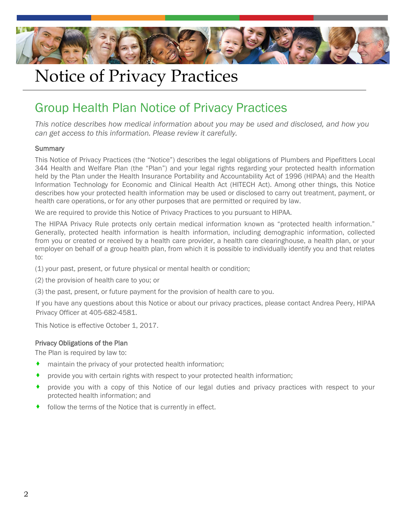

# Notice of Privacy Practices

# Group Health Plan Notice of Privacy Practices

*This notice describes how medical information about you may be used and disclosed, and how you can get access to this information. Please review it carefully.*

### **Summary**

This Notice of Privacy Practices (the "Notice") describes the legal obligations of Plumbers and Pipefitters Local 344 Health and Welfare Plan (the "Plan") and your legal rights regarding your protected health information held by the Plan under the Health Insurance Portability and Accountability Act of 1996 (HIPAA) and the Health Information Technology for Economic and Clinical Health Act (HITECH Act). Among other things, this Notice describes how your protected health information may be used or disclosed to carry out treatment, payment, or health care operations, or for any other purposes that are permitted or required by law.

We are required to provide this Notice of Privacy Practices to you pursuant to HIPAA.

The HIPAA Privacy Rule protects only certain medical information known as "protected health information." Generally, protected health information is health information, including demographic information, collected from you or created or received by a health care provider, a health care clearinghouse, a health plan, or your employer on behalf of a group health plan, from which it is possible to individually identify you and that relates to:

(1) your past, present, or future physical or mental health or condition;

(2) the provision of health care to you; or

(3) the past, present, or future payment for the provision of health care to you.

If you have any questions about this Notice or about our privacy practices, please contact Andrea Peery, HIPAA Privacy Officer at 405-682-4581.

This Notice is effective October 1, 2017.

### Privacy Obligations of the Plan

The Plan is required by law to:

- maintain the privacy of your protected health information;
- provide you with certain rights with respect to your protected health information;
- provide you with a copy of this Notice of our legal duties and privacy practices with respect to your protected health information; and
- follow the terms of the Notice that is currently in effect.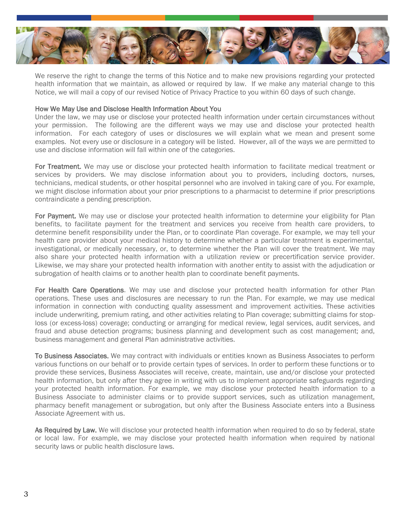

We reserve the right to change the terms of this Notice and to make new provisions regarding your protected health information that we maintain, as allowed or required by law. If we make any material change to this Notice, we will mail a copy of our revised Notice of Privacy Practice to you within 60 days of such change.

### How We May Use and Disclose Health Information About You

Under the law, we may use or disclose your protected health information under certain circumstances without your permission. The following are the different ways we may use and disclose your protected health information. For each category of uses or disclosures we will explain what we mean and present some examples. Not every use or disclosure in a category will be listed. However, all of the ways we are permitted to use and disclose information will fall within one of the categories.

For Treatment. We may use or disclose your protected health information to facilitate medical treatment or services by providers. We may disclose information about you to providers, including doctors, nurses, technicians, medical students, or other hospital personnel who are involved in taking care of you. For example, we might disclose information about your prior prescriptions to a pharmacist to determine if prior prescriptions contraindicate a pending prescription.

For Payment. We may use or disclose your protected health information to determine your eligibility for Plan benefits, to facilitate payment for the treatment and services you receive from health care providers, to determine benefit responsibility under the Plan, or to coordinate Plan coverage. For example, we may tell your health care provider about your medical history to determine whether a particular treatment is experimental, investigational, or medically necessary, or, to determine whether the Plan will cover the treatment. We may also share your protected health information with a utilization review or precertification service provider. Likewise, we may share your protected health information with another entity to assist with the adjudication or subrogation of health claims or to another health plan to coordinate benefit payments.

For Health Care Operations. We may use and disclose your protected health information for other Plan operations. These uses and disclosures are necessary to run the Plan. For example, we may use medical information in connection with conducting quality assessment and improvement activities. These activities include underwriting, premium rating, and other activities relating to Plan coverage; submitting claims for stoploss (or excess-loss) coverage; conducting or arranging for medical review, legal services, audit services, and fraud and abuse detection programs; business planning and development such as cost management; and, business management and general Plan administrative activities.

To Business Associates. We may contract with individuals or entities known as Business Associates to perform various functions on our behalf or to provide certain types of services. In order to perform these functions or to provide these services, Business Associates will receive, create, maintain, use and/or disclose your protected health information, but only after they agree in writing with us to implement appropriate safeguards regarding your protected health information. For example, we may disclose your protected health information to a Business Associate to administer claims or to provide support services, such as utilization management, pharmacy benefit management or subrogation, but only after the Business Associate enters into a Business Associate Agreement with us.

As Required by Law. We will disclose your protected health information when required to do so by federal, state or local law. For example, we may disclose your protected health information when required by national security laws or public health disclosure laws.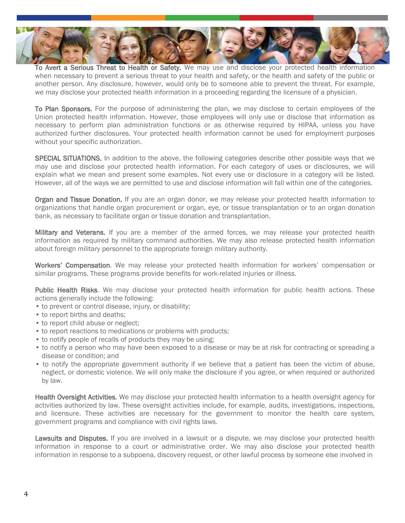ı

To Avert a Serious Threat to Health or Safety. We may use and disclose your protected health information when necessary to prevent a serious threat to your health and safety, or the health and safety of the public or another person. Any disclosure, however, would only be to someone able to prevent the threat. For example, we may disclose your protected health information in a proceeding regarding the licensure of a physician.

To Plan Sponsors. For the purpose of administering the plan, we may disclose to certain employees of the Union protected health information. However, those employees will only use or disclose that information as necessary to perform plan administration functions or as otherwise required by HIPAA, unless you have authorized further disclosures. Your protected health information cannot be used for employment purposes without your specific authorization.

**SPECIAL SITUATIONS.** In addition to the above, the following categories describe other possible ways that we may use and disclose your protected health information. For each category of uses or disclosures, we will explain what we mean and present some examples. Not every use or disclosure in a category will be listed. However, all of the ways we are permitted to use and disclose information will fall within one of the categories.

Organ and Tissue Donation. If you are an organ donor, we may release your protected health information to organizations that handle organ procurement or organ, eye, or tissue transplantation or to an organ donation bank, as necessary to facilitate organ or tissue donation and transplantation.

Military and Veterans. If you are a member of the armed forces, we may release your protected health information as required by military command authorities. We may also release protected health information about foreign military personnel to the appropriate foreign military authority.

Workers' Compensation. We may release your protected health information for workers' compensation or similar programs. These programs provide benefits for work-related injuries or illness.

Public Health Risks. We may disclose your protected health information for public health actions. These actions generally include the following:

- to prevent or control disease, injury, or disability;
- to report births and deaths;
- to report child abuse or neglect;
- to report reactions to medications or problems with products;
- to notify people of recalls of products they may be using;
- to notify a person who may have been exposed to a disease or may be at risk for contracting or spreading a disease or condition; and
- to notify the appropriate government authority if we believe that a patient has been the victim of abuse, neglect, or domestic violence. We will only make the disclosure if you agree, or when required or authorized by law.

Health Oversight Activities. We may disclose your protected health information to a health oversight agency for activities authorized by law. These oversight activities include, for example, audits, investigations, inspections, and licensure. These activities are necessary for the government to monitor the health care system, government programs and compliance with civil rights laws.

Lawsuits and Disputes. If you are involved in a lawsuit or a dispute, we may disclose your protected health information in response to a court or administrative order. We may also disclose your protected health information in response to a subpoena, discovery request, or other lawful process by someone else involved in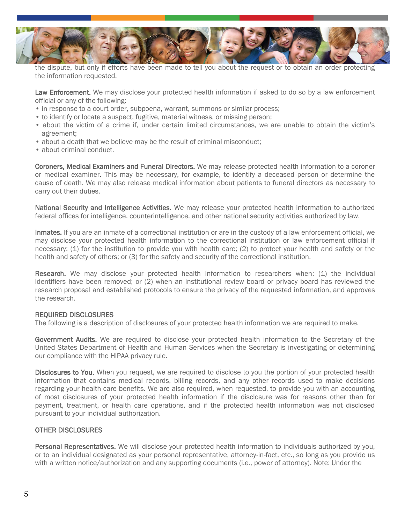

the dispute, but only if efforts have been made to tell you about the request or to obtain an order protecting the information requested.

Law Enforcement. We may disclose your protected health information if asked to do so by a law enforcement official or any of the following:

- in response to a court order, subpoena, warrant, summons or similar process;
- to identify or locate a suspect, fugitive, material witness, or missing person;
- about the victim of a crime if, under certain limited circumstances, we are unable to obtain the victim's agreement;
- about a death that we believe may be the result of criminal misconduct;
- about criminal conduct.

Coroners, Medical Examiners and Funeral Directors. We may release protected health information to a coroner or medical examiner. This may be necessary, for example, to identify a deceased person or determine the cause of death. We may also release medical information about patients to funeral directors as necessary to carry out their duties.

National Security and Intelligence Activities. We may release your protected health information to authorized federal offices for intelligence, counterintelligence, and other national security activities authorized by law.

Inmates. If you are an inmate of a correctional institution or are in the custody of a law enforcement official, we may disclose your protected health information to the correctional institution or law enforcement official if necessary: (1) for the institution to provide you with health care; (2) to protect your health and safety or the health and safety of others; or (3) for the safety and security of the correctional institution.

**Research.** We may disclose your protected health information to researchers when: (1) the individual identifiers have been removed; or (2) when an institutional review board or privacy board has reviewed the research proposal and established protocols to ensure the privacy of the requested information, and approves the research.

### REQUIRED DISCLOSURES

The following is a description of disclosures of your protected health information we are required to make.

Government Audits. We are required to disclose your protected health information to the Secretary of the United States Department of Health and Human Services when the Secretary is investigating or determining our compliance with the HIPAA privacy rule.

Disclosures to You. When you request, we are required to disclose to you the portion of your protected health information that contains medical records, billing records, and any other records used to make decisions regarding your health care benefits. We are also required, when requested, to provide you with an accounting of most disclosures of your protected health information if the disclosure was for reasons other than for payment, treatment, or health care operations, and if the protected health information was not disclosed pursuant to your individual authorization.

### OTHER DISCLOSURES

Personal Representatives. We will disclose your protected health information to individuals authorized by you, or to an individual designated as your personal representative, attorney-in-fact, etc., so long as you provide us with a written notice/authorization and any supporting documents (i.e., power of attorney). Note: Under the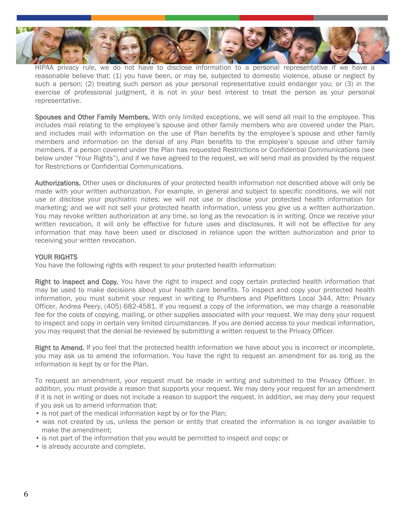HIPAA privacy rule, we do not have to disclose information to a personal representative if we have a reasonable believe that: (1) you have been, or may be, subjected to domestic violence, abuse or neglect by such a person; (2) treating such person as your personal representative could endanger you; or (3) in the exercise of professional judgment, it is not in your best interest to treat the person as your personal representative.

Spouses and Other Family Members. With only limited exceptions, we will send all mail to the employee. This includes mail relating to the employee's spouse and other family members who are covered under the Plan, and includes mail with information on the use of Plan benefits by the employee's spouse and other family members and information on the denial of any Plan benefits to the employee's spouse and other family members. If a person covered under the Plan has requested Restrictions or Confidential Communications (see below under "Your Rights"), and if we have agreed to the request, we will send mail as provided by the request for Restrictions or Confidential Communications.

Authorizations. Other uses or disclosures of your protected health information not described above will only be made with your written authorization. For example, in general and subject to specific conditions, we will not use or disclose your psychiatric notes; we will not use or disclose your protected health information for marketing; and we will not sell your protected health information, unless you give us a written authorization. You may revoke written authorization at any time, so long as the revocation is in writing. Once we receive your written revocation, it will only be effective for future uses and disclosures. It will not be effective for any information that may have been used or disclosed in reliance upon the written authorization and prior to receiving your written revocation.

### YOUR RIGHTS

You have the following rights with respect to your protected health information:

Right to Inspect and Copy. You have the right to inspect and copy certain protected health information that may be used to make decisions about your health care benefits. To inspect and copy your protected health information, you must submit your request in writing to Plumbers and Pipefitters Local 344, Attn: Privacy Officer, Andrea Peery, (405) 682-4581. If you request a copy of the information, we may charge a reasonable fee for the costs of copying, mailing, or other supplies associated with your request. We may deny your request to inspect and copy in certain very limited circumstances. If you are denied access to your medical information, you may request that the denial be reviewed by submitting a written request to the Privacy Officer.

Right to Amend. If you feel that the protected health information we have about you is incorrect or incomplete, you may ask us to amend the information. You have the right to request an amendment for as long as the information is kept by or for the Plan.

To request an amendment, your request must be made in writing and submitted to the Privacy Officer. In addition, you must provide a reason that supports your request. We may deny your request for an amendment if it is not in writing or does not include a reason to support the request. In addition, we may deny your request if you ask us to amend information that:

- is not part of the medical information kept by or for the Plan;
- was not created by us, unless the person or entity that created the information is no longer available to make the amendment;
- is not part of the information that you would be permitted to inspect and copy; or
- is already accurate and complete.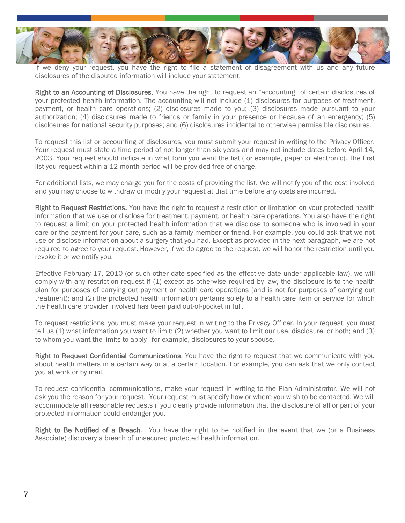

If we deny your request, you have the right to file a statement of disagreement with us and any future disclosures of the disputed information will include your statement.

Right to an Accounting of Disclosures. You have the right to request an "accounting" of certain disclosures of your protected health information. The accounting will not include (1) disclosures for purposes of treatment, payment, or health care operations; (2) disclosures made to you; (3) disclosures made pursuant to your authorization; (4) disclosures made to friends or family in your presence or because of an emergency; (5) disclosures for national security purposes; and (6) disclosures incidental to otherwise permissible disclosures.

To request this list or accounting of disclosures, you must submit your request in writing to the Privacy Officer. Your request must state a time period of not longer than six years and may not include dates before April 14, 2003. Your request should indicate in what form you want the list (for example, paper or electronic). The first list you request within a 12-month period will be provided free of charge.

For additional lists, we may charge you for the costs of providing the list. We will notify you of the cost involved and you may choose to withdraw or modify your request at that time before any costs are incurred.

Right to Request Restrictions. You have the right to request a restriction or limitation on your protected health information that we use or disclose for treatment, payment, or health care operations. You also have the right to request a limit on your protected health information that we disclose to someone who is involved in your care or the payment for your care, such as a family member or friend. For example, you could ask that we not use or disclose information about a surgery that you had. Except as provided in the next paragraph, we are not required to agree to your request. However, if we do agree to the request, we will honor the restriction until you revoke it or we notify you.

Effective February 17, 2010 (or such other date specified as the effective date under applicable law), we will comply with any restriction request if (1) except as otherwise required by law, the disclosure is to the health plan for purposes of carrying out payment or health care operations (and is not for purposes of carrying out treatment); and (2) the protected health information pertains solely to a health care item or service for which the health care provider involved has been paid out-of-pocket in full.

To request restrictions, you must make your request in writing to the Privacy Officer. In your request, you must tell us (1) what information you want to limit; (2) whether you want to limit our use, disclosure, or both; and (3) to whom you want the limits to apply—for example, disclosures to your spouse.

Right to Request Confidential Communications. You have the right to request that we communicate with you about health matters in a certain way or at a certain location. For example, you can ask that we only contact you at work or by mail.

To request confidential communications, make your request in writing to the Plan Administrator. We will not ask you the reason for your request. Your request must specify how or where you wish to be contacted. We will accommodate all reasonable requests if you clearly provide information that the disclosure of all or part of your protected information could endanger you.

Right to Be Notified of a Breach. You have the right to be notified in the event that we (or a Business Associate) discovery a breach of unsecured protected health information.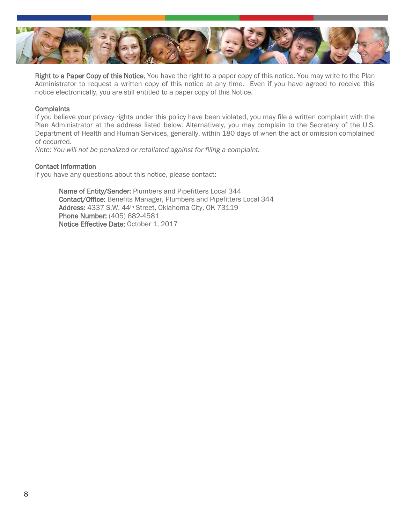

Right to a Paper Copy of this Notice. You have the right to a paper copy of this notice. You may write to the Plan Administrator to request a written copy of this notice at any time. Even if you have agreed to receive this notice electronically, you are still entitled to a paper copy of this Notice.

### **Complaints**

If you believe your privacy rights under this policy have been violated, you may file a written complaint with the Plan Administrator at the address listed below. Alternatively, you may complain to the Secretary of the U.S. Department of Health and Human Services, generally, within 180 days of when the act or omission complained of occurred.

*Note: You will not be penalized or retaliated against for filing a complaint.* 

### Contact Information

If you have any questions about this notice, please contact:

Name of Entity/Sender: Plumbers and Pipefitters Local 344 Contact/Office: Benefits Manager, Plumbers and Pipefitters Local 344 Address: 4337 S.W. 44th Street, Oklahoma City, OK 73119 Phone Number: (405) 682-4581 Notice Effective Date: October 1, 2017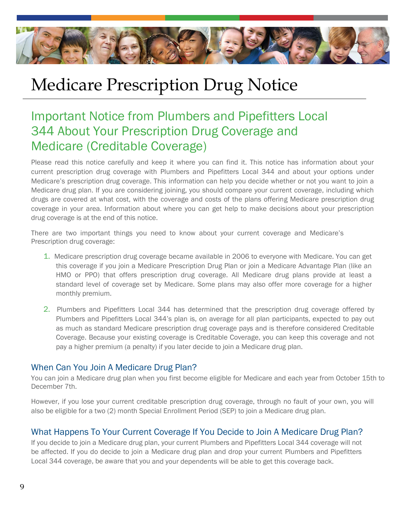

# Medicare Prescription Drug Notice

# Important Notice from Plumbers and Pipefitters Local 344 About Your Prescription Drug Coverage and Medicare (Creditable Coverage)

Please read this notice carefully and keep it where you can find it. This notice has information about your current prescription drug coverage with Plumbers and Pipefitters Local 344 and about your options under Medicare's prescription drug coverage. This information can help you decide whether or not you want to join a Medicare drug plan. If you are considering joining, you should compare your current coverage, including which drugs are covered at what cost, with the coverage and costs of the plans offering Medicare prescription drug coverage in your area. Information about where you can get help to make decisions about your prescription drug coverage is at the end of this notice.

There are two important things you need to know about your current coverage and Medicare's Prescription drug coverage:

- 1. Medicare prescription drug coverage became available in 2006 to everyone with Medicare. You can get this coverage if you join a Medicare Prescription Drug Plan or join a Medicare Advantage Plan (like an HMO or PPO) that offers prescription drug coverage. All Medicare drug plans provide at least a standard level of coverage set by Medicare. Some plans may also offer more coverage for a higher monthly premium.
- 2. Plumbers and Pipefitters Local 344 has determined that the prescription drug coverage offered by Plumbers and Pipefitters Local 344's plan is, on average for all plan participants, expected to pay out as much as standard Medicare prescription drug coverage pays and is therefore considered Creditable Coverage. Because your existing coverage is Creditable Coverage, you can keep this coverage and not pay a higher premium (a penalty) if you later decide to join a Medicare drug plan.

### When Can You Join A Medicare Drug Plan?

You can join a Medicare drug plan when you first become eligible for Medicare and each year from October 15th to December 7th.

However, if you lose your current creditable prescription drug coverage, through no fault of your own, you will also be eligible for a two (2) month Special Enrollment Period (SEP) to join a Medicare drug plan.

### What Happens To Your Current Coverage If You Decide to Join A Medicare Drug Plan?

If you decide to join a Medicare drug plan, your current Plumbers and Pipefitters Local 344 coverage will not be affected. If you do decide to join a Medicare drug plan and drop your current Plumbers and Pipefitters Local 344 coverage, be aware that you and your dependents will be able to get this coverage back.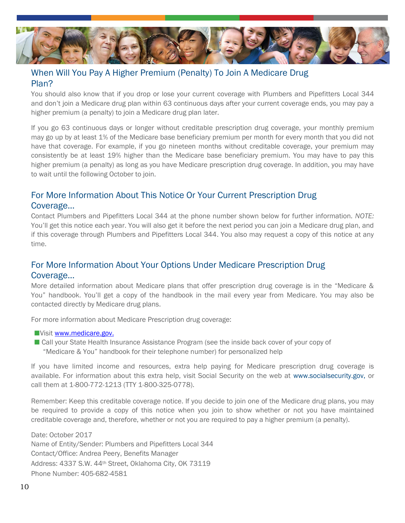

### When Will You Pay A Higher Premium (Penalty) To Join A Medicare Drug Plan?

You should also know that if you drop or lose your current coverage with Plumbers and Pipefitters Local 344 and don't join a Medicare drug plan within 63 continuous days after your current coverage ends, you may pay a higher premium (a penalty) to join a Medicare drug plan later.

If you go 63 continuous days or longer without creditable prescription drug coverage, your monthly premium may go up by at least 1% of the Medicare base beneficiary premium per month for every month that you did not have that coverage. For example, if you go nineteen months without creditable coverage, your premium may consistently be at least 19% higher than the Medicare base beneficiary premium. You may have to pay this higher premium (a penalty) as long as you have Medicare prescription drug coverage. In addition, you may have to wait until the following October to join.

## For More Information About This Notice Or Your Current Prescription Drug Coverage…

Contact Plumbers and Pipefitters Local 344 at the phone number shown below for further information. *NOTE:*  You'll get this notice each year. You will also get it before the next period you can join a Medicare drug plan, and if this coverage through Plumbers and Pipefitters Local 344. You also may request a copy of this notice at any time.

## For More Information About Your Options Under Medicare Prescription Drug Coverage…

More detailed information about Medicare plans that offer prescription drug coverage is in the "Medicare & You" handbook. You'll get a copy of the handbook in the mail every year from Medicare. You may also be contacted directly by Medicare drug plans.

For more information about Medicare Prescription drug coverage:

### Visit [www.medicare.gov.](http://www.medicare.gov./)

■ Call your State Health Insurance Assistance Program (see the inside back cover of your copy of "Medicare & You" handbook for their telephone number) for personalized help

If you have limited income and resources, extra help paying for Medicare prescription drug coverage is available. For information about this extra help, visit Social Security on the web at [www.socialsecurity.gov, o](http://www.socialsecurity.gov/)r call them at 1-800-772-1213 (TTY 1-800-325-0778).

Remember: Keep this creditable coverage notice. If you decide to join one of the Medicare drug plans, you may be required to provide a copy of this notice when you join to show whether or not you have maintained creditable coverage and, therefore, whether or not you are required to pay a higher premium (a penalty).

Date: October 2017 Name of Entity/Sender: Plumbers and Pipefitters Local 344 Contact/Office: Andrea Peery, Benefits Manager Address: 4337 S.W. 44th Street, Oklahoma City, OK 73119 Phone Number: 405-682-4581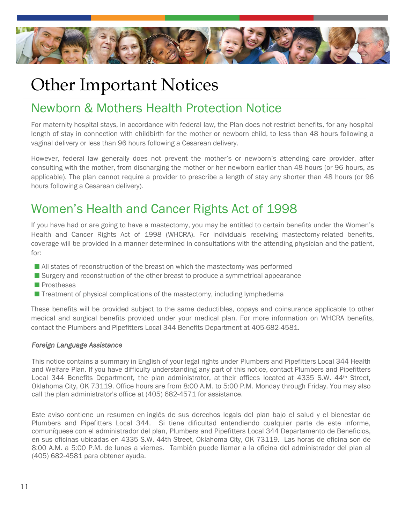

# Other Important Notices

## Newborn & Mothers Health Protection Notice

For maternity hospital stays, in accordance with federal law, the Plan does not restrict benefits, for any hospital length of stay in connection with childbirth for the mother or newborn child, to less than 48 hours following a vaginal delivery or less than 96 hours following a Cesarean delivery.

However, federal law generally does not prevent the mother's or newborn's attending care provider, after consulting with the mother, from discharging the mother or her newborn earlier than 48 hours (or 96 hours, as applicable). The plan cannot require a provider to prescribe a length of stay any shorter than 48 hours (or 96 hours following a Cesarean delivery).

# Women's Health and Cancer Rights Act of 1998

If you have had or are going to have a mastectomy, you may be entitled to certain benefits under the Women's Health and Cancer Rights Act of 1998 (WHCRA). For individuals receiving mastectomy-related benefits, coverage will be provided in a manner determined in consultations with the attending physician and the patient, for:

- All states of reconstruction of the breast on which the mastectomy was performed
- **Surgery and reconstruction of the other breast to produce a symmetrical appearance**
- **Prostheses**
- $\blacksquare$  Treatment of physical complications of the mastectomy, including lymphedema

These benefits will be provided subject to the same deductibles, copays and coinsurance applicable to other medical and surgical benefits provided under your medical plan. For more information on WHCRA benefits, contact the Plumbers and Pipefitters Local 344 Benefits Department at 405-682-4581.

### *Foreign Language Assistance*

This notice contains a summary in English of your legal rights under Plumbers and Pipefitters Local 344 Health and Welfare Plan. If you have difficulty understanding any part of this notice, contact Plumbers and Pipefitters Local 344 Benefits Department, the plan administrator, at their offices located at 4335 S.W. 44<sup>th</sup> Street, Oklahoma City, OK 73119. Office hours are from 8:00 A.M. to 5:00 P.M. Monday through Friday. You may also call the plan administrator's office at (405) 682-4571 for assistance.

Este aviso contiene un resumen en inglés de sus derechos legals del plan bajo el salud y el bienestar de Plumbers and Pipefitters Local 344. Si tiene dificultad entendiendo cualquier parte de este informe, comuníquese con el administrador del plan, Plumbers and Pipefitters Local 344 Departamento de Beneficios, en sus oficinas ubicadas en 4335 S.W. 44th Street, Oklahoma City, OK 73119. Las horas de oficina son de 8:00 A.M. a 5:00 P.M. de lunes a viernes. También puede llamar a la oficina del administrador del plan al (405) 682-4581 para obtener ayuda.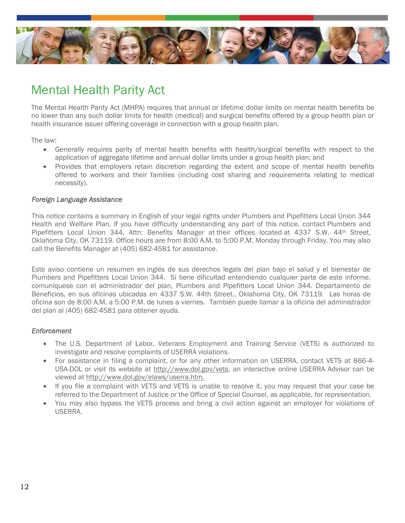

# Mental Health Parity Act

The Mental Health Parity Act (MHPA) requires that annual or lifetime dollar limits on mental health benefits be no lower than any such dollar limits for health (medical) and surgical benefits offered by a group health plan or health insurance issuer offering coverage in connection with a group health plan.

The law:

- Generally requires parity of mental health benefits with health/surgical benefits with respect to the application of aggregate lifetime and annual dollar limits under a group health plan; and
- Provides that employers retain discretion regarding the extent and scope of mental health benefits offered to workers and their families (including cost sharing and requirements relating to medical necessity).

### *Foreign Language Assistance*

This notice contains a summary in English of your legal rights under Plumbers and Pipefitters Local Union 344 Health and Welfare Plan. If you have difficulty understanding any part of this notice, contact Plumbers and Pipefitters Local Union 344, Attn: Benefits Manager at their offices located at 4337 S.W. 44<sup>th</sup> Street, Oklahoma City, OK 73119. Office hours are from 8:00 A.M. to 5:00 P.M. Monday through Friday. You may also call the Benefits Manager at (405) 682-4581 for assistance.

Este aviso contiene un resumen en inglés de sus derechos legals del plan bajo el salud y el bienestar de Plumbers and Pipefitters Local Union 344. Si tiene dificultad entendiendo cualquier parte de este informe, comuníquese con el administrador del plan, Plumbers and Pipefitters Local Union 344. Departamento de Beneficios, en sus oficinas ubicadas en 4337 S.W. 44th Street., Oklahoma City, OK 73119. Las horas de oficina son de 8:00 A.M. a 5:00 P.M. de lunes a viernes. También puede llamar a la oficina del administrador del plan al (405) 682-4581 para obtener ayuda.

### *Enforcement*

- The U.S. Department of Labor, Veterans Employment and Training Service (VETS) is authorized to investigate and resolve complaints of USERRA violations.
- For assistance in filing a complaint, or for any other information on USERRA, contact VETS at 866-4- USA-DOL or visit its website at [http://www.dol.gov/vets,](http://www.dol.gov/vets) an interactive online USERRA Advisor can be viewed at<http://www.dol.gov/elaws/userra.htm.>
- If you file a complaint with VETS and VETS is unable to resolve it, you may request that your case be referred to the Department of Justice or the Office of Special Counsel, as applicable, for representation.
- You may also bypass the VETS process and bring a civil action against an employer for violations of USERRA.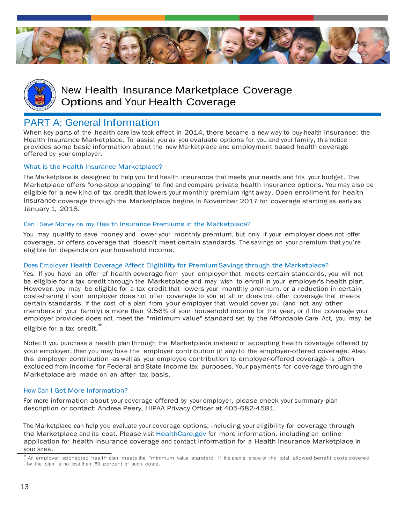



## New Health Insurance Marketplace Coverage Options and Your Health Coverage

## PART A: General Information

When key parts of the health care law took effect in 2014, there became a new way to buy health insurance: the Health Insurance Marketplace. To assist you as you evaluate options for you and your family, this notice provides some basic information about the new Marketplace and employment based health coverage offered by your employer.

### What is the Health Insurance Marketplace?

The Marketplace is designed to help you find health insurance that meets your needs and fits your budget. The Marketplace offers "one-stop shopping" to find and compare private health insurance options. You may also be eligible for a new kind of tax credit that lowers your monthly premium right away. Open enrollment for health insurance coverage through the Marketplace begins in November 2017 for coverage starting as early as January 1, 2018.

### Can I Save Money on my Health Insurance Premiums in the Marketplace?

You may qualify to save money and lower your monthly premium, but only if your employer does not offer coverage, or offers coverage that doesn't meet certain standards. The savings on your premium that you're eligible for depends on your household income.

### Does Employer Health Coverage Affect Eligibility for Premium Savings through the Marketplace?

Yes. If you have an offer of health coverage from your employer that meets certain standards, you will not be eligible for a tax credit through the Marketplace and may wish to enroll in your employer's health plan. However, you may be eligible for a tax credit that lowers your monthly premium, or a reduction in certain cost-sharing if your employer does not offer coverage to you at all or does not offer coverage that meets certain standards. If the cost of a plan from your employer that would cover you (and not any other members of your family) is more than 9.56% of your household income for the year, or if the coverage your employer provides does not meet the "minimum value" standard set by the Affordable Care Act, you may be eligible for a tax credit.<sup>\*</sup>

Note: If you purchase a health plan through the Marketplace instead of accepting health coverage offered by your employer, then you may lose the employer contribution (if any) to the employer-offered coverage. Also, this employer contribution -as well as your employee contribution to employer-offered coverage- is often excluded from income for Federal and State income tax purposes. Your payments for coverage through the Marketplace are made on an after- tax basis.

#### How Can <sup>I</sup> Get More Information?

For more information about your coverage offered by your employer, please check your summary plan description or contact: Andrea Peery, HIPAA Privacy Officer at 405-682-4581.

The Marketplace can help you evaluate your coverage options, including your eligibility for coverage through the Marketplace and its cost. Please visit [HealthCare.gov](http://www.healthcare.gov/) for more information, including an online application for health insurance coverage and contact information for a Health Insurance Marketplace in your area.

An employer-sponsored health plan meets the "minimum value standard" if the plan's share of the total allowed benefit costs covered by the plan is no less than 60 percent of such costs.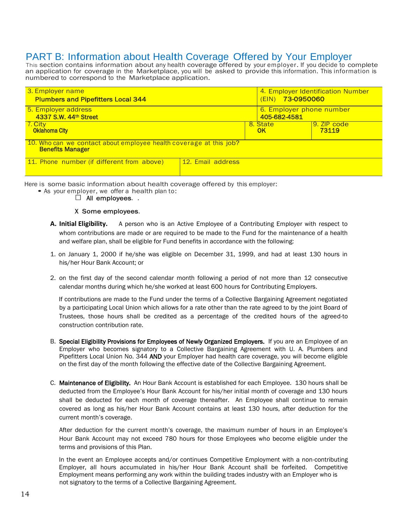## PART B: Information about Health Coverage Offered by Your Employer

This section contains information about any health coverage offered by your employer. If you decide to complete an application for coverage in the Marketplace, you will be asked to provide this information. This information is numbered to correspond to the Marketplace application.

| 3. Employer name<br><b>Plumbers and Pipefitters Local 344</b>                                 |                   |                       | 4. Employer Identification Number<br>(EIN) 73-0950060 |                      |
|-----------------------------------------------------------------------------------------------|-------------------|-----------------------|-------------------------------------------------------|----------------------|
| 5. Employer address<br>4337 S.W. 44th Street                                                  |                   |                       | 6. Employer phone number<br>405-682-4581              |                      |
| 7. City<br><b>Oklahoma City</b>                                                               |                   | 8. State<br><b>OK</b> |                                                       | 9. ZIP code<br>73119 |
| 10. Who can we contact about employee health coverage at this job?<br><b>Benefits Manager</b> |                   |                       |                                                       |                      |
| 11. Phone number (if different from above)                                                    | 12. Email address |                       |                                                       |                      |

Here is some basic information about health coverage offered by this employer:

• As your employer, we offer a health plan to:

 $\Box$  All employees. .

### X Some employees.

- **A. Initial Eligibility.** A person who is an Active Employee of a Contributing Employer with respect to whom contributions are made or are required to be made to the Fund for the maintenance of a health and welfare plan, shall be eligible for Fund benefits in accordance with the following:
- 1. on January 1, 2000 if he/she was eligible on December 31, 1999, and had at least 130 hours in his/her Hour Bank Account; or
- 2. on the first day of the second calendar month following a period of not more than 12 consecutive calendar months during which he/she worked at least 600 hours for Contributing Employers.

If contributions are made to the Fund under the terms of a Collective Bargaining Agreement negotiated by a participating Local Union which allows for a rate other than the rate agreed to by the joint Board of Trustees, those hours shall be credited as a percentage of the credited hours of the agreed-to construction contribution rate.

- B. Special Eligibility Provisions for Employees of Newly Organized Employers. If you are an Employee of an Employer who becomes signatory to a Collective Bargaining Agreement with U. A. Plumbers and Pipefitters Local Union No. 344 AND your Employer had health care coverage, you will become eligible on the first day of the month following the effective date of the Collective Bargaining Agreement.
- C. Maintenance of Eligibility. An Hour Bank Account is established for each Employee. 130 hours shall be deducted from the Employee's Hour Bank Account for his/her initial month of coverage and 130 hours shall be deducted for each month of coverage thereafter. An Employee shall continue to remain covered as long as his/her Hour Bank Account contains at least 130 hours, after deduction for the current month's coverage.

After deduction for the current month's coverage, the maximum number of hours in an Employee's Hour Bank Account may not exceed 780 hours for those Employees who become eligible under the terms and provisions of this Plan.

In the event an Employee accepts and/or continues Competitive Employment with a non-contributing Employer, all hours accumulated in his/her Hour Bank Account shall be forfeited. Competitive Employment means performing any work within the building trades industry with an Employer who is not signatory to the terms of a Collective Bargaining Agreement.